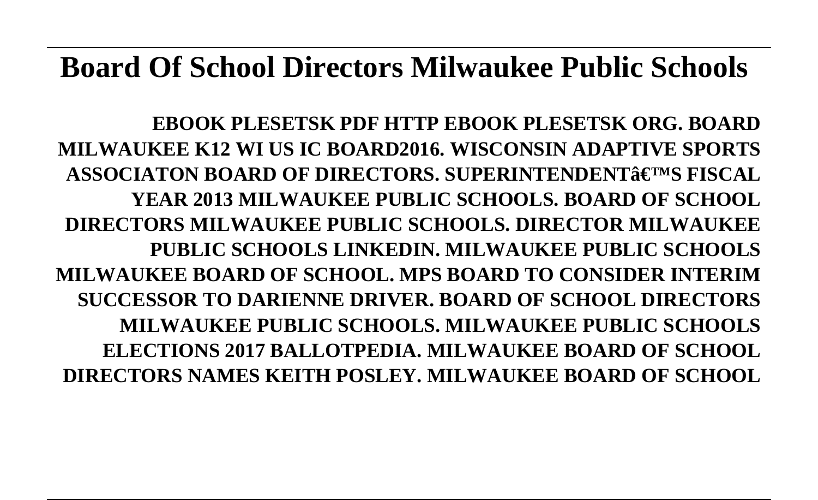## **Board Of School Directors Milwaukee Public Schools**

**EBOOK PLESETSK PDF HTTP EBOOK PLESETSK ORG. BOARD MILWAUKEE K12 WI US IC BOARD2016. WISCONSIN ADAPTIVE SPORTS** ASSOCIATON BOARD OF DIRECTORS. SUPERINTENDENT& E<sup>TM</sup>S FISCAL **YEAR 2013 MILWAUKEE PUBLIC SCHOOLS. BOARD OF SCHOOL DIRECTORS MILWAUKEE PUBLIC SCHOOLS. DIRECTOR MILWAUKEE PUBLIC SCHOOLS LINKEDIN. MILWAUKEE PUBLIC SCHOOLS MILWAUKEE BOARD OF SCHOOL. MPS BOARD TO CONSIDER INTERIM SUCCESSOR TO DARIENNE DRIVER. BOARD OF SCHOOL DIRECTORS MILWAUKEE PUBLIC SCHOOLS. MILWAUKEE PUBLIC SCHOOLS ELECTIONS 2017 BALLOTPEDIA. MILWAUKEE BOARD OF SCHOOL DIRECTORS NAMES KEITH POSLEY. MILWAUKEE BOARD OF SCHOOL**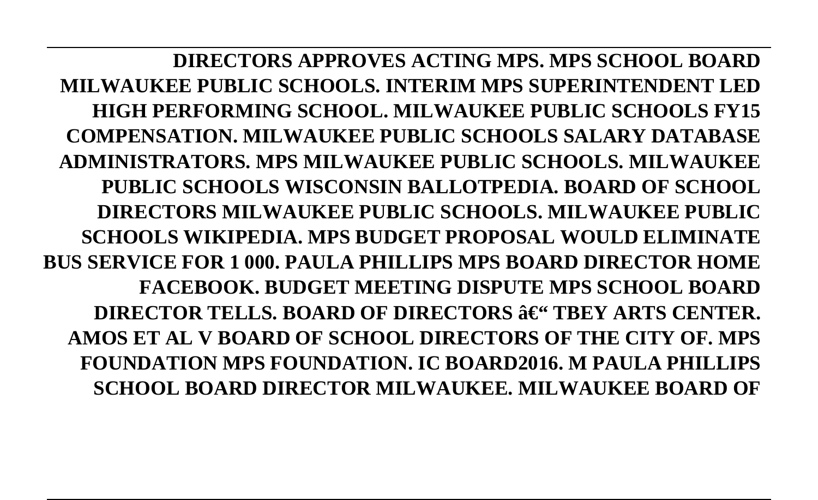**DIRECTORS APPROVES ACTING MPS. MPS SCHOOL BOARD MILWAUKEE PUBLIC SCHOOLS. INTERIM MPS SUPERINTENDENT LED HIGH PERFORMING SCHOOL. MILWAUKEE PUBLIC SCHOOLS FY15 COMPENSATION. MILWAUKEE PUBLIC SCHOOLS SALARY DATABASE ADMINISTRATORS. MPS MILWAUKEE PUBLIC SCHOOLS. MILWAUKEE PUBLIC SCHOOLS WISCONSIN BALLOTPEDIA. BOARD OF SCHOOL DIRECTORS MILWAUKEE PUBLIC SCHOOLS. MILWAUKEE PUBLIC SCHOOLS WIKIPEDIA. MPS BUDGET PROPOSAL WOULD ELIMINATE BUS SERVICE FOR 1 000. PAULA PHILLIPS MPS BOARD DIRECTOR HOME FACEBOOK. BUDGET MEETING DISPUTE MPS SCHOOL BOARD DIRECTOR TELLS. BOARD OF DIRECTORS**  $\hat{\mathbf{a}} \in \mathcal{C}$  **TBEY ARTS CENTER. AMOS ET AL V BOARD OF SCHOOL DIRECTORS OF THE CITY OF. MPS FOUNDATION MPS FOUNDATION. IC BOARD2016. M PAULA PHILLIPS SCHOOL BOARD DIRECTOR MILWAUKEE. MILWAUKEE BOARD OF**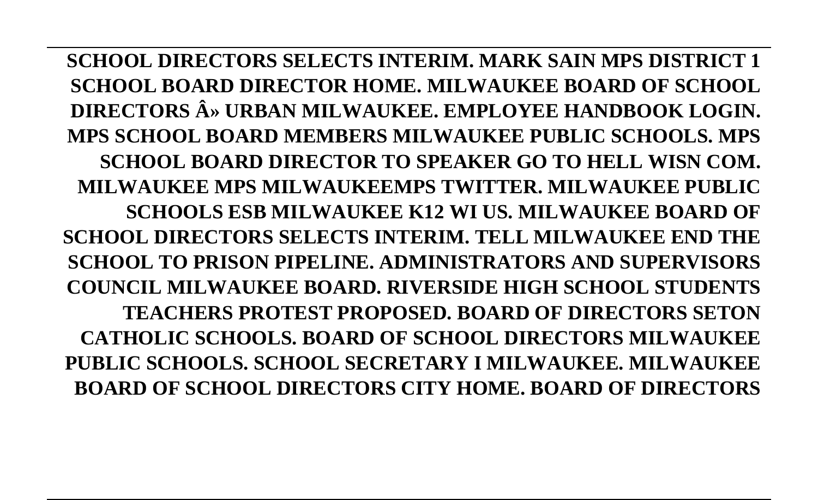**SCHOOL DIRECTORS SELECTS INTERIM. MARK SAIN MPS DISTRICT 1 SCHOOL BOARD DIRECTOR HOME. MILWAUKEE BOARD OF SCHOOL DIRECTORS » URBAN MILWAUKEE. EMPLOYEE HANDBOOK LOGIN. MPS SCHOOL BOARD MEMBERS MILWAUKEE PUBLIC SCHOOLS. MPS SCHOOL BOARD DIRECTOR TO SPEAKER GO TO HELL WISN COM. MILWAUKEE MPS MILWAUKEEMPS TWITTER. MILWAUKEE PUBLIC SCHOOLS ESB MILWAUKEE K12 WI US. MILWAUKEE BOARD OF SCHOOL DIRECTORS SELECTS INTERIM. TELL MILWAUKEE END THE SCHOOL TO PRISON PIPELINE. ADMINISTRATORS AND SUPERVISORS COUNCIL MILWAUKEE BOARD. RIVERSIDE HIGH SCHOOL STUDENTS TEACHERS PROTEST PROPOSED. BOARD OF DIRECTORS SETON CATHOLIC SCHOOLS. BOARD OF SCHOOL DIRECTORS MILWAUKEE PUBLIC SCHOOLS. SCHOOL SECRETARY I MILWAUKEE. MILWAUKEE BOARD OF SCHOOL DIRECTORS CITY HOME. BOARD OF DIRECTORS**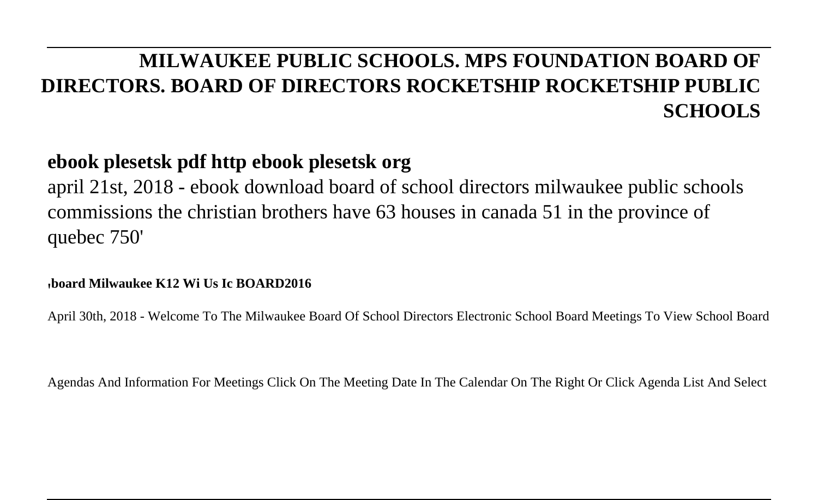### **MILWAUKEE PUBLIC SCHOOLS. MPS FOUNDATION BOARD OF DIRECTORS. BOARD OF DIRECTORS ROCKETSHIP ROCKETSHIP PUBLIC SCHOOLS**

### **ebook plesetsk pdf http ebook plesetsk org**

april 21st, 2018 - ebook download board of school directors milwaukee public schools commissions the christian brothers have 63 houses in canada 51 in the province of quebec 750'

#### '**board Milwaukee K12 Wi Us Ic BOARD2016**

April 30th, 2018 - Welcome To The Milwaukee Board Of School Directors Electronic School Board Meetings To View School Board

Agendas And Information For Meetings Click On The Meeting Date In The Calendar On The Right Or Click Agenda List And Select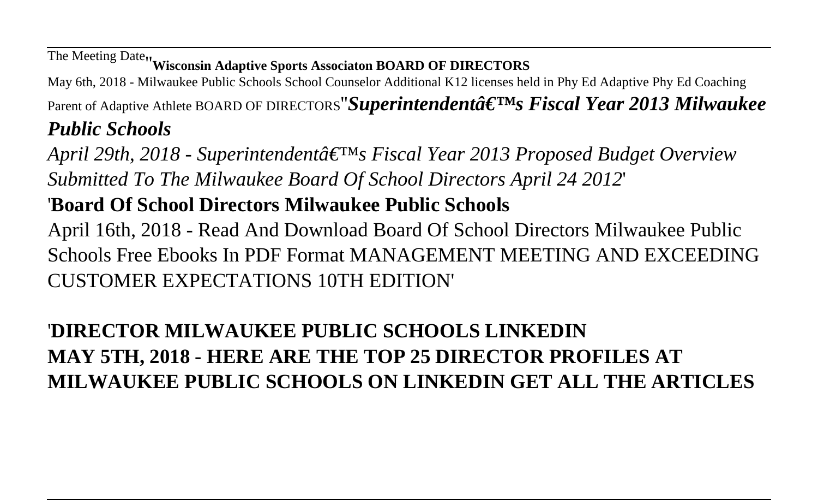# The Meeting Date''**Wisconsin Adaptive Sports Associaton BOARD OF DIRECTORS**

May 6th, 2018 - Milwaukee Public Schools School Counselor Additional K12 licenses held in Phy Ed Adaptive Phy Ed Coaching

Parent of Adaptive Athlete BOARD OF DIRECTORS"**Superintendenta<sup>c</sup>**  $\mathbf{F}^{\text{IM}}$ s **Fiscal Year 2013 Milwaukee** *Public Schools*

*April 29th, 2018 - Superintendent's Fiscal Year 2013 Proposed Budget Overview Submitted To The Milwaukee Board Of School Directors April 24 2012*'

### '**Board Of School Directors Milwaukee Public Schools**

April 16th, 2018 - Read And Download Board Of School Directors Milwaukee Public Schools Free Ebooks In PDF Format MANAGEMENT MEETING AND EXCEEDING CUSTOMER EXPECTATIONS 10TH EDITION'

### '**DIRECTOR MILWAUKEE PUBLIC SCHOOLS LINKEDIN MAY 5TH, 2018 - HERE ARE THE TOP 25 DIRECTOR PROFILES AT MILWAUKEE PUBLIC SCHOOLS ON LINKEDIN GET ALL THE ARTICLES**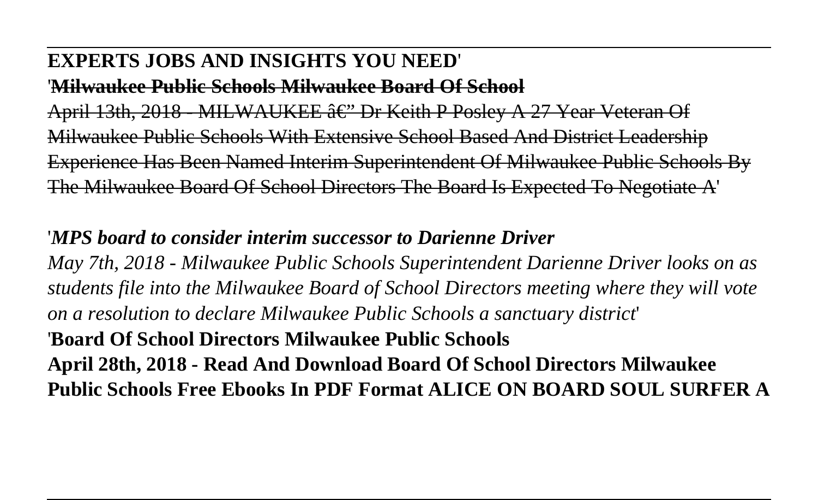#### **EXPERTS JOBS AND INSIGHTS YOU NEED**'

'**Milwaukee Public Schools Milwaukee Board Of School**

April 13th, 2018 - MILWAUKEE  $\hat{a} \in$ " Dr Keith P Posley A 27 Year Veteran Of Milwaukee Public Schools With Extensive School Based And District Leadership Experience Has Been Named Interim Superintendent Of Milwaukee Public Schools By The Milwaukee Board Of School Directors The Board Is Expected To Negotiate A'

### '*MPS board to consider interim successor to Darienne Driver*

*May 7th, 2018 - Milwaukee Public Schools Superintendent Darienne Driver looks on as students file into the Milwaukee Board of School Directors meeting where they will vote on a resolution to declare Milwaukee Public Schools a sanctuary district*'

#### '**Board Of School Directors Milwaukee Public Schools**

**April 28th, 2018 - Read And Download Board Of School Directors Milwaukee Public Schools Free Ebooks In PDF Format ALICE ON BOARD SOUL SURFER A**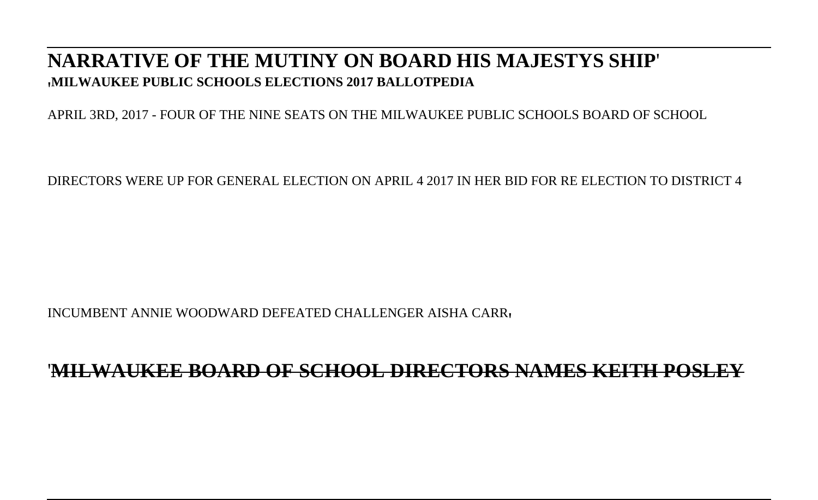#### **NARRATIVE OF THE MUTINY ON BOARD HIS MAJESTYS SHIP**' '**MILWAUKEE PUBLIC SCHOOLS ELECTIONS 2017 BALLOTPEDIA**

APRIL 3RD, 2017 - FOUR OF THE NINE SEATS ON THE MILWAUKEE PUBLIC SCHOOLS BOARD OF SCHOOL

DIRECTORS WERE UP FOR GENERAL ELECTION ON APRIL 4 2017 IN HER BID FOR RE ELECTION TO DISTRICT 4

INCUMBENT ANNIE WOODWARD DEFEATED CHALLENGER AISHA CARR'

#### '**MILWAUKEE BOARD OF SCHOOL DIRECTORS NAMES KEITH POSLEY**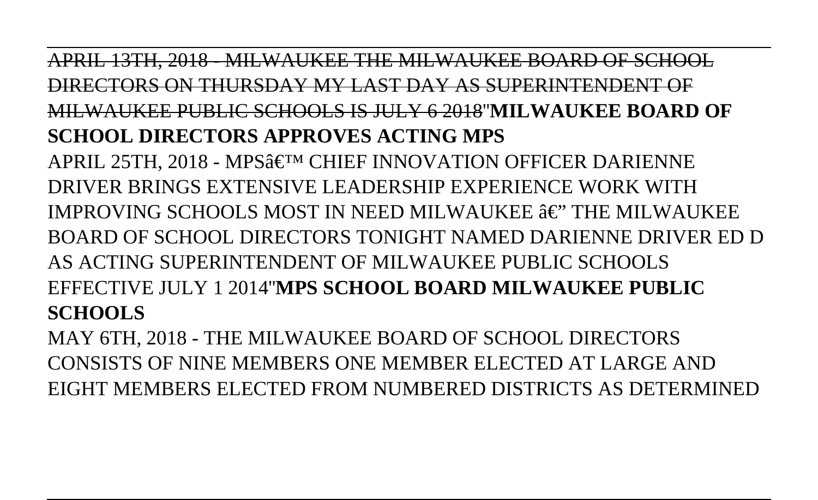APRIL 13TH, 2018 - MILWAUKEE THE MILWAUKEE BOARD OF SCHOOL DIRECTORS ON THURSDAY MY LAST DAY AS SUPERINTENDENT OF MILWAUKEE PUBLIC SCHOOLS IS JULY 6 2018''**MILWAUKEE BOARD OF SCHOOL DIRECTORS APPROVES ACTING MPS** APRIL 25TH. 2018 - MPS' CHIEF INNOVATION OFFICER DARIENNE DRIVER BRINGS EXTENSIVE LEADERSHIP EXPERIENCE WORK WITH IMPROVING SCHOOLS MOST IN NEED MILWAUKEE  $\hat{a}\in$ " THE MILWAUKEE BOARD OF SCHOOL DIRECTORS TONIGHT NAMED DARIENNE DRIVER ED D AS ACTING SUPERINTENDENT OF MILWAUKEE PUBLIC SCHOOLS EFFECTIVE JULY 1 2014''**MPS SCHOOL BOARD MILWAUKEE PUBLIC SCHOOLS**

MAY 6TH, 2018 - THE MILWAUKEE BOARD OF SCHOOL DIRECTORS CONSISTS OF NINE MEMBERS ONE MEMBER ELECTED AT LARGE AND EIGHT MEMBERS ELECTED FROM NUMBERED DISTRICTS AS DETERMINED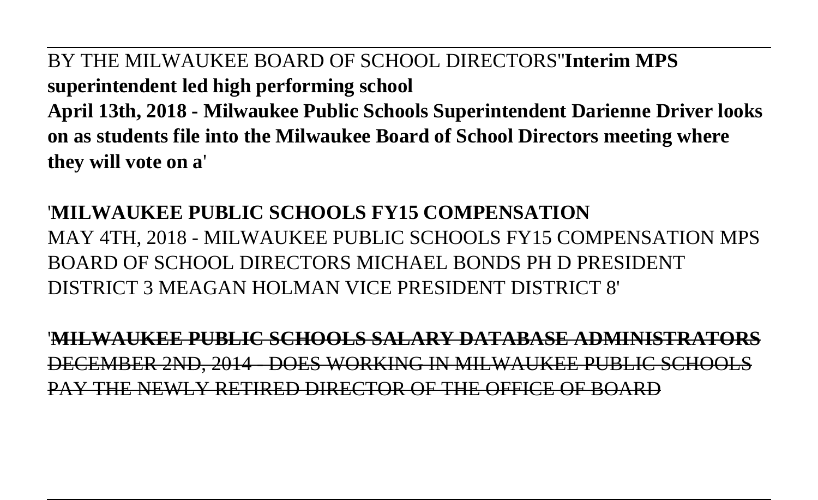BY THE MILWAUKEE BOARD OF SCHOOL DIRECTORS''**Interim MPS superintendent led high performing school April 13th, 2018 - Milwaukee Public Schools Superintendent Darienne Driver looks on as students file into the Milwaukee Board of School Directors meeting where they will vote on a**'

### '**MILWAUKEE PUBLIC SCHOOLS FY15 COMPENSATION** MAY 4TH, 2018 - MILWAUKEE PUBLIC SCHOOLS FY15 COMPENSATION MPS BOARD OF SCHOOL DIRECTORS MICHAEL BONDS PH D PRESIDENT DISTRICT 3 MEAGAN HOLMAN VICE PRESIDENT DISTRICT 8'

'**MILWAUKEE PUBLIC SCHOOLS SALARY DATABASE ADMINISTRATORS** DECEMBER 2ND, 2014 - DOES WORKING IN MILWAUKEE PUBLIC SCHOOLS PAY THE NEWLY RETIRED DIRECTOR OF THE OFFICE OF BOARD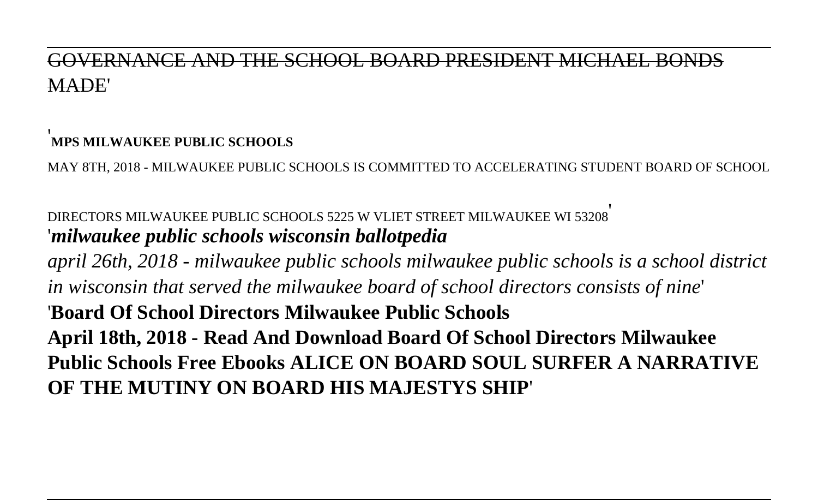### SOVERNANCE AND THE SCHOOL ROARD PRESIDENT MICHAEL MADE'

#### '**MPS MILWAUKEE PUBLIC SCHOOLS**

MAY 8TH, 2018 - MILWAUKEE PUBLIC SCHOOLS IS COMMITTED TO ACCELERATING STUDENT BOARD OF SCHOOL

#### DIRECTORS MILWAUKEE PUBLIC SCHOOLS 5225 W VLIET STREET MILWAUKEE WI 53208' '*milwaukee public schools wisconsin ballotpedia*

*april 26th, 2018 - milwaukee public schools milwaukee public schools is a school district in wisconsin that served the milwaukee board of school directors consists of nine*' '**Board Of School Directors Milwaukee Public Schools April 18th, 2018 - Read And Download Board Of School Directors Milwaukee Public Schools Free Ebooks ALICE ON BOARD SOUL SURFER A NARRATIVE OF THE MUTINY ON BOARD HIS MAJESTYS SHIP**'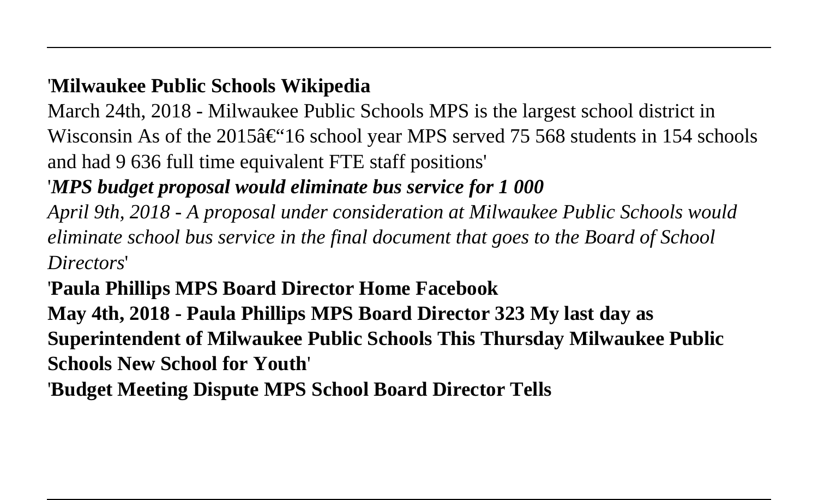### '**Milwaukee Public Schools Wikipedia**

March 24th, 2018 - Milwaukee Public Schools MPS is the largest school district in Wisconsin As of the 2015 $\hat{\epsilon}$ "16 school year MPS served 75 568 students in 154 schools and had 9 636 full time equivalent FTE staff positions'

### '*MPS budget proposal would eliminate bus service for 1 000*

*April 9th, 2018 - A proposal under consideration at Milwaukee Public Schools would eliminate school bus service in the final document that goes to the Board of School Directors*'

### '**Paula Phillips MPS Board Director Home Facebook**

**May 4th, 2018 - Paula Phillips MPS Board Director 323 My last day as Superintendent of Milwaukee Public Schools This Thursday Milwaukee Public Schools New School for Youth**'

'**Budget Meeting Dispute MPS School Board Director Tells**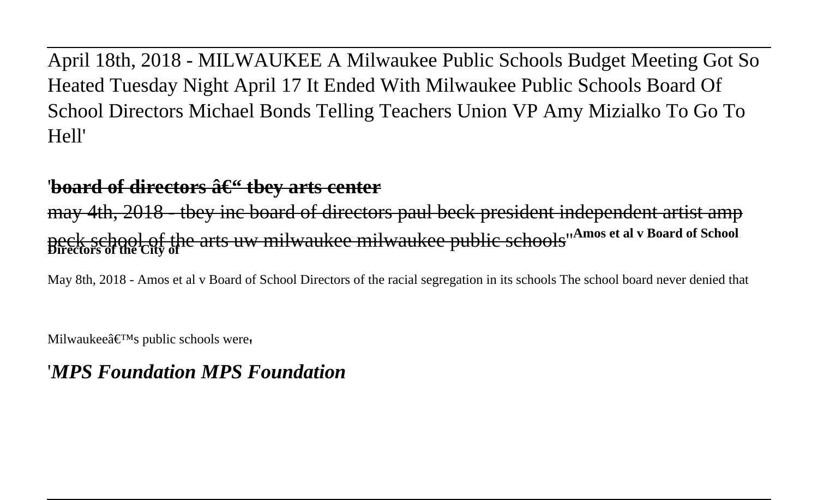April 18th, 2018 - MILWAUKEE A Milwaukee Public Schools Budget Meeting Got So Heated Tuesday Night April 17 It Ended With Milwaukee Public Schools Board Of School Directors Michael Bonds Telling Teachers Union VP Amy Mizialko To Go To Hell'

#### '<del>board of directors – tbey arts cente</del>r

may 4th, 2018 - tbey inc board of directors paul beck president independent artist amp peck school of the arts uw milwaukee milwaukee public schools''**Amos et al v Board of School Directors of the City of**

May 8th, 2018 - Amos et al v Board of School Directors of the racial segregation in its schools The school board never denied that

Milwaukee $\hat{\mathbf{a}} \in \mathbb{R}^{\text{TM}}$ s public schools were

#### '*MPS Foundation MPS Foundation*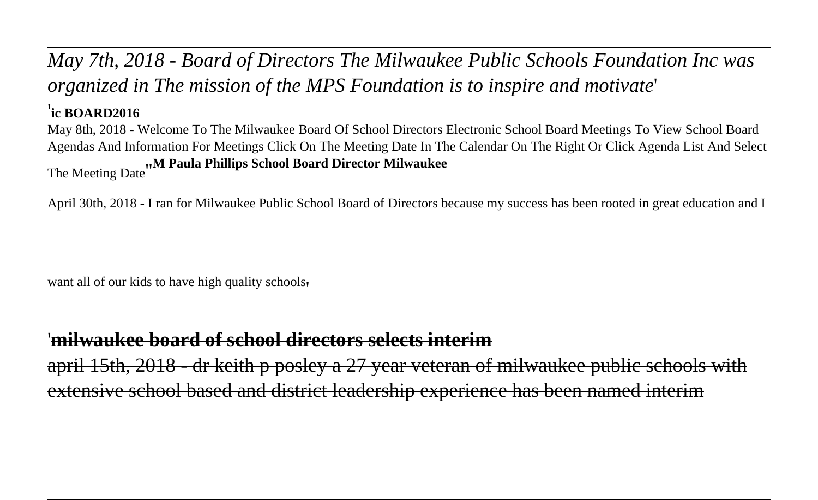### *May 7th, 2018 - Board of Directors The Milwaukee Public Schools Foundation Inc was organized in The mission of the MPS Foundation is to inspire and motivate*'

#### '**ic BOARD2016**

May 8th, 2018 - Welcome To The Milwaukee Board Of School Directors Electronic School Board Meetings To View School Board Agendas And Information For Meetings Click On The Meeting Date In The Calendar On The Right Or Click Agenda List And Select The Meeting Date''**M Paula Phillips School Board Director Milwaukee**

April 30th, 2018 - I ran for Milwaukee Public School Board of Directors because my success has been rooted in great education and I

want all of our kids to have high quality schools'

#### '**milwaukee board of school directors selects interim**

april 15th, 2018 - dr keith p posley a 27 year veteran of milwaukee public schools with extensive school based and district leadership experience has been named interim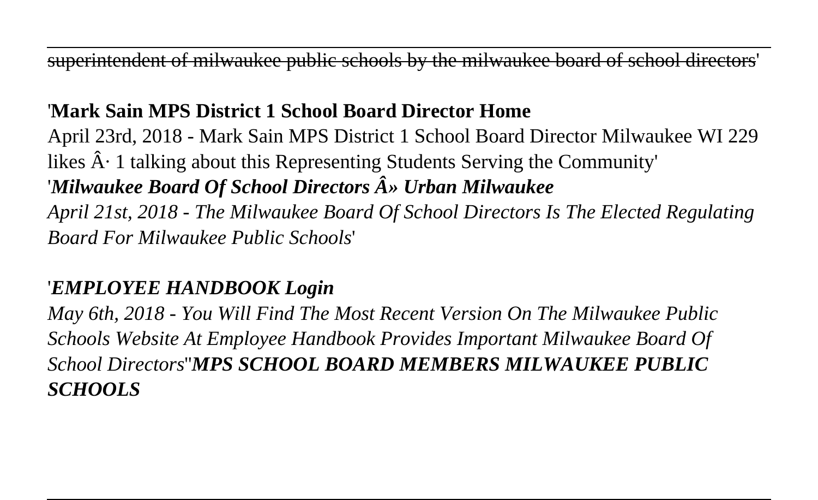superintendent of milwaukee public schools by the milwaukee board of school directors'

### '**Mark Sain MPS District 1 School Board Director Home**

April 23rd, 2018 - Mark Sain MPS District 1 School Board Director Milwaukee WI 229 likes  $\hat{A}$ . 1 talking about this Representing Students Serving the Community' '*Milwaukee Board Of School Directors » Urban Milwaukee April 21st, 2018 - The Milwaukee Board Of School Directors Is The Elected Regulating Board For Milwaukee Public Schools*'

#### '*EMPLOYEE HANDBOOK Login*

*May 6th, 2018 - You Will Find The Most Recent Version On The Milwaukee Public Schools Website At Employee Handbook Provides Important Milwaukee Board Of School Directors*''*MPS SCHOOL BOARD MEMBERS MILWAUKEE PUBLIC SCHOOLS*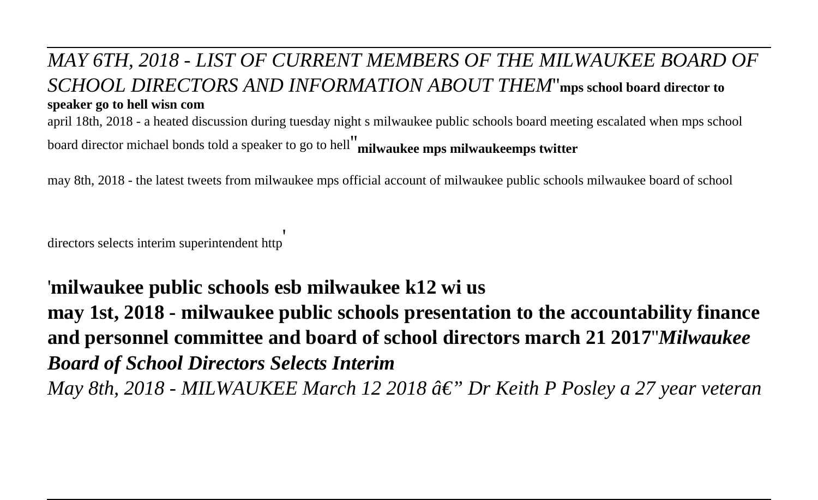#### *MAY 6TH, 2018 - LIST OF CURRENT MEMBERS OF THE MILWAUKEE BOARD OF SCHOOL DIRECTORS AND INFORMATION ABOUT THEM*''**mps school board director to speaker go to hell wisn com**

april 18th, 2018 - a heated discussion during tuesday night s milwaukee public schools board meeting escalated when mps school board director michael bonds told a speaker to go to hell''**milwaukee mps milwaukeemps twitter**

may 8th, 2018 - the latest tweets from milwaukee mps official account of milwaukee public schools milwaukee board of school

directors selects interim superintendent http

#### '**milwaukee public schools esb milwaukee k12 wi us**

**may 1st, 2018 - milwaukee public schools presentation to the accountability finance and personnel committee and board of school directors march 21 2017**''*Milwaukee Board of School Directors Selects Interim May 8th, 2018 - MILWAUKEE March 12 2018 â*€" *Dr Keith P Posley a 27 year veteran*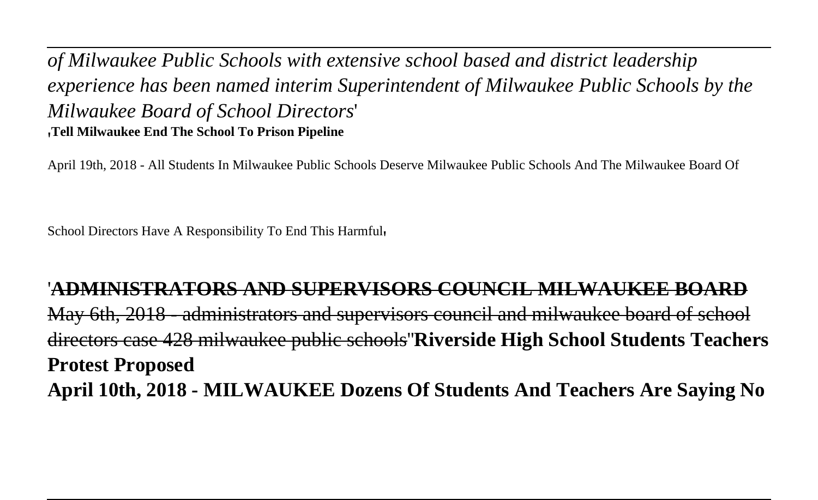*of Milwaukee Public Schools with extensive school based and district leadership experience has been named interim Superintendent of Milwaukee Public Schools by the Milwaukee Board of School Directors*' '**Tell Milwaukee End The School To Prison Pipeline**

April 19th, 2018 - All Students In Milwaukee Public Schools Deserve Milwaukee Public Schools And The Milwaukee Board Of

School Directors Have A Responsibility To End This Harmful,

'**ADMINISTRATORS AND SUPERVISORS COUNCIL MILWAUKEE BOARD** May 6th, 2018 - administrators and supervisors council and milwaukee board of school directors case 428 milwaukee public schools''**Riverside High School Students Teachers Protest Proposed April 10th, 2018 - MILWAUKEE Dozens Of Students And Teachers Are Saying No**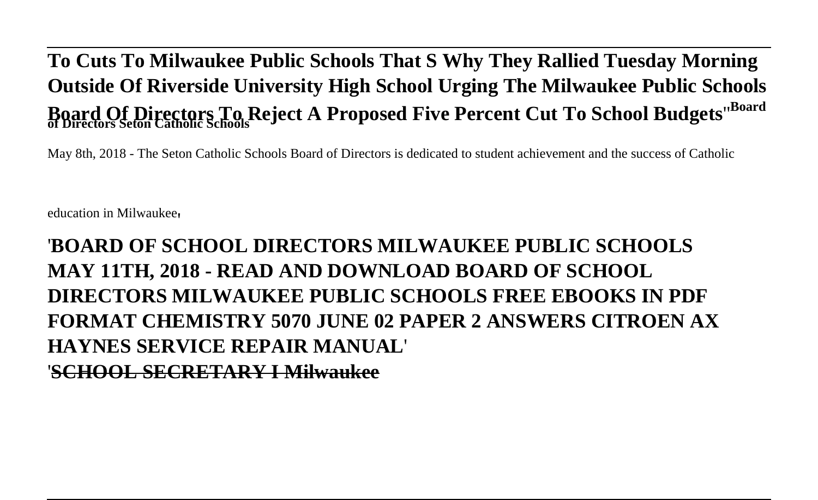## **To Cuts To Milwaukee Public Schools That S Why They Rallied Tuesday Morning Outside Of Riverside University High School Urging The Milwaukee Public Schools Board Of Directors To Reject A Proposed Five Percent Cut To School Budgets**''**Board of Directors Seton Catholic Schools**

May 8th, 2018 - The Seton Catholic Schools Board of Directors is dedicated to student achievement and the success of Catholic

education in Milwaukee'

### '**BOARD OF SCHOOL DIRECTORS MILWAUKEE PUBLIC SCHOOLS MAY 11TH, 2018 - READ AND DOWNLOAD BOARD OF SCHOOL DIRECTORS MILWAUKEE PUBLIC SCHOOLS FREE EBOOKS IN PDF FORMAT CHEMISTRY 5070 JUNE 02 PAPER 2 ANSWERS CITROEN AX HAYNES SERVICE REPAIR MANUAL**' '**SCHOOL SECRETARY I Milwaukee**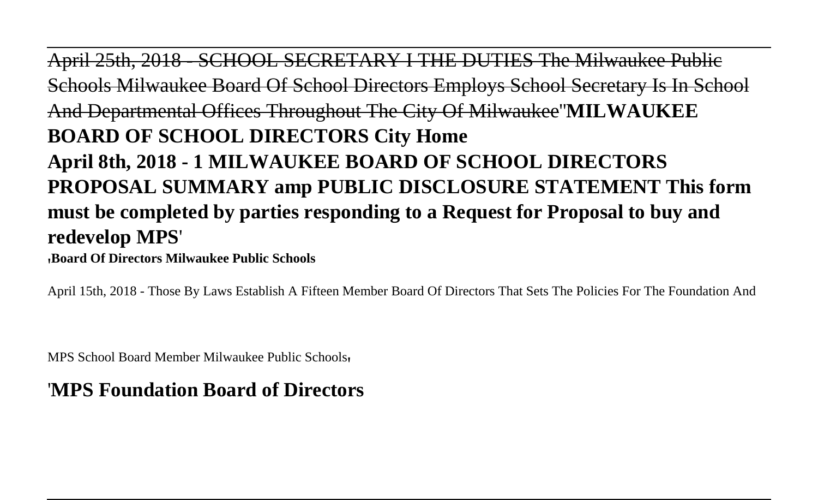April 25th, 2018 - SCHOOL SECRETARY I THE DUTIES The Milwaukee Public Schools Milwaukee Board Of School Directors Employs School Secretary Is In School And Departmental Offices Throughout The City Of Milwaukee''**MILWAUKEE BOARD OF SCHOOL DIRECTORS City Home April 8th, 2018 - 1 MILWAUKEE BOARD OF SCHOOL DIRECTORS PROPOSAL SUMMARY amp PUBLIC DISCLOSURE STATEMENT This form must be completed by parties responding to a Request for Proposal to buy and redevelop MPS**'

'**Board Of Directors Milwaukee Public Schools**

April 15th, 2018 - Those By Laws Establish A Fifteen Member Board Of Directors That Sets The Policies For The Foundation And

MPS School Board Member Milwaukee Public Schools'

#### '**MPS Foundation Board of Directors**